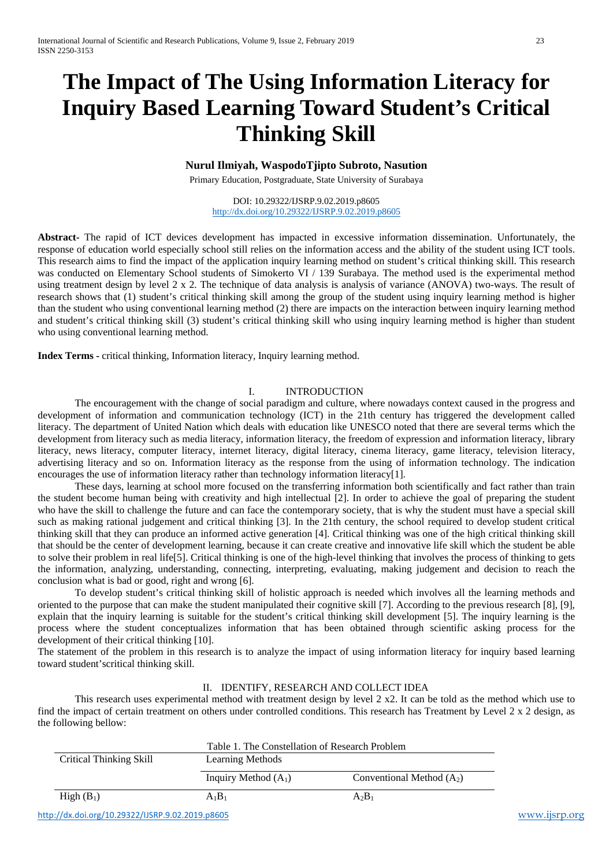# **The Impact of The Using Information Literacy for Inquiry Based Learning Toward Student's Critical Thinking Skill**

# **Nurul Ilmiyah, WaspodoTjipto Subroto, Nasution**

Primary Education, Postgraduate, State University of Surabaya

DOI: 10.29322/IJSRP.9.02.2019.p8605 <http://dx.doi.org/10.29322/IJSRP.9.02.2019.p8605>

**Abstract-** The rapid of ICT devices development has impacted in excessive information dissemination. Unfortunately, the response of education world especially school still relies on the information access and the ability of the student using ICT tools. This research aims to find the impact of the application inquiry learning method on student's critical thinking skill. This research was conducted on Elementary School students of Simokerto VI / 139 Surabaya. The method used is the experimental method using treatment design by level 2 x 2. The technique of data analysis is analysis of variance (ANOVA) two-ways. The result of research shows that (1) student's critical thinking skill among the group of the student using inquiry learning method is higher than the student who using conventional learning method (2) there are impacts on the interaction between inquiry learning method and student's critical thinking skill (3) student's critical thinking skill who using inquiry learning method is higher than student who using conventional learning method.

**Index Terms -** critical thinking, Information literacy, Inquiry learning method.

# I. INTRODUCTION

The encouragement with the change of social paradigm and culture, where nowadays context caused in the progress and development of information and communication technology (ICT) in the 21th century has triggered the development called literacy. The department of United Nation which deals with education like UNESCO noted that there are several terms which the development from literacy such as media literacy, information literacy, the freedom of expression and information literacy, library literacy, news literacy, computer literacy, internet literacy, digital literacy, cinema literacy, game literacy, television literacy, advertising literacy and so on. Information literacy as the response from the using of information technology. The indication encourages the use of information literacy rather than technology information literacy[1].

These days, learning at school more focused on the transferring information both scientifically and fact rather than train the student become human being with creativity and high intellectual [2]. In order to achieve the goal of preparing the student who have the skill to challenge the future and can face the contemporary society, that is why the student must have a special skill such as making rational judgement and critical thinking [3]. In the 21th century, the school required to develop student critical thinking skill that they can produce an informed active generation [4]. Critical thinking was one of the high critical thinking skill that should be the center of development learning, because it can create creative and innovative life skill which the student be able to solve their problem in real life[5]. Critical thinking is one of the high-level thinking that involves the process of thinking to gets the information, analyzing, understanding, connecting, interpreting, evaluating, making judgement and decision to reach the conclusion what is bad or good, right and wrong [6].

To develop student's critical thinking skill of holistic approach is needed which involves all the learning methods and oriented to the purpose that can make the student manipulated their cognitive skill [7]. According to the previous research [8], [9], explain that the inquiry learning is suitable for the student's critical thinking skill development [5]. The inquiry learning is the process where the student conceptualizes information that has been obtained through scientific asking process for the development of their critical thinking [10].

The statement of the problem in this research is to analyze the impact of using information literacy for inquiry based learning toward student'scritical thinking skill.

## II. IDENTIFY, RESEARCH AND COLLECT IDEA

This research uses experimental method with treatment design by level 2 x2. It can be told as the method which use to find the impact of certain treatment on others under controlled conditions. This research has Treatment by Level 2 x 2 design, as the following bellow:

| Critical Thinking Skill                          | Learning Methods       | Table 1. The Constellation of Research Problem |               |  |
|--------------------------------------------------|------------------------|------------------------------------------------|---------------|--|
|                                                  | Inquiry Method $(A_1)$ | Conventional Method $(A_2)$                    |               |  |
| High $(B_1)$                                     | $A_1B_1$               | $A_2B_1$                                       |               |  |
| http://dx.doi.org/10.29322/IJSRP.9.02.2019.p8605 |                        |                                                | www.ijsrp.org |  |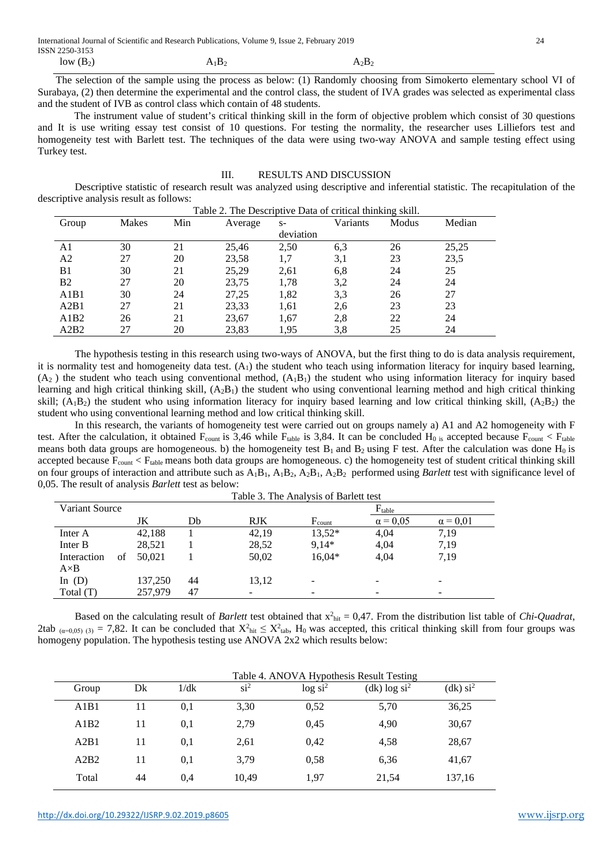International Journal of Scientific and Research Publications, Volume 9, Issue 2, February 2019 24 ISSN 2250-3153

 $\text{low (B}_2)$   $\text{A}_1\text{B}_2$   $\text{A}_2\text{B}_2$ 

 The selection of the sample using the process as below: (1) Randomly choosing from Simokerto elementary school VI of Surabaya, (2) then determine the experimental and the control class, the student of IVA grades was selected as experimental class and the student of IVB as control class which contain of 48 students.

The instrument value of student's critical thinking skill in the form of objective problem which consist of 30 questions and It is use writing essay test consist of 10 questions. For testing the normality, the researcher uses Lilliefors test and homogeneity test with Barlett test. The techniques of the data were using two-way ANOVA and sample testing effect using Turkey test.

#### III. RESULTS AND DISCUSSION

Descriptive statistic of research result was analyzed using descriptive and inferential statistic. The recapitulation of the descriptive analysis result as follows: Table 2. The Descriptive Data of critical thinking skill.

| Table 2. The Descriptive Data of critical thinking skill. |       |     |         |           |          |       |        |  |
|-----------------------------------------------------------|-------|-----|---------|-----------|----------|-------|--------|--|
| Group                                                     | Makes | Min | Average | $S-$      | Variants | Modus | Median |  |
|                                                           |       |     |         | deviation |          |       |        |  |
| A1                                                        | 30    | 21  | 25,46   | 2,50      | 6,3      | 26    | 25,25  |  |
| A <sub>2</sub>                                            | 27    | 20  | 23,58   | 1,7       | 3,1      | 23    | 23,5   |  |
| B1                                                        | 30    | 21  | 25,29   | 2,61      | 6,8      | 24    | 25     |  |
| B <sub>2</sub>                                            | 27    | 20  | 23,75   | 1,78      | 3,2      | 24    | 24     |  |
| A1B1                                                      | 30    | 24  | 27,25   | 1,82      | 3,3      | 26    | 27     |  |
| A2B1                                                      | 27    | 21  | 23,33   | 1,61      | 2.6      | 23    | 23     |  |
| A1B2                                                      | 26    | 21  | 23,67   | 1,67      | 2,8      | 22    | 24     |  |
| A2B2                                                      | 27    | 20  | 23,83   | 1.95      | 3.8      | 25    | 24     |  |

The hypothesis testing in this research using two-ways of ANOVA, but the first thing to do is data analysis requirement, it is normality test and homogeneity data test.  $(A<sub>1</sub>)$  the student who teach using information literacy for inquiry based learning,  $(A<sub>2</sub>)$  the student who teach using conventional method,  $(A<sub>1</sub>B<sub>1</sub>)$  the student who using information literacy for inquiry based learning and high critical thinking skill,  $(A_2B_1)$  the student who using conventional learning method and high critical thinking skill;  $(A_1B_2)$  the student who using information literacy for inquiry based learning and low critical thinking skill,  $(A_2B_2)$  the student who using conventional learning method and low critical thinking skill.

In this research, the variants of homogeneity test were carried out on groups namely a) A1 and A2 homogeneity with F test. After the calculation, it obtained  $F_{count}$  is 3,46 while  $F_{table}$  is 3,84. It can be concluded  $H_0$  is accepted because  $F_{count}$  <  $F_{table}$ means both data groups are homogeneous. b) the homogeneity test  $B_1$  and  $B_2$  using F test. After the calculation was done  $H_0$  is accepted because  $F_{count}$  <  $F_{table}$  means both data groups are homogeneous. c) the homogeneity test of student critical thinking skill on four groups of interaction and attribute such as  $A_1B_1$ ,  $A_1B_2$ ,  $A_2B_1$ ,  $A_2B_2$  performed using *Barlett* test with significance level of 0,05. The result of analysis *Barlett* test as below:  $T$  and  $T$   $\sim$   $T$   $\sim$   $T$   $\sim$   $T$ 

|                |    | Table 5. The Analysis of Barlett lest |    |                          |                    |                 |                          |  |
|----------------|----|---------------------------------------|----|--------------------------|--------------------|-----------------|--------------------------|--|
| Variant Source |    |                                       |    |                          | $F_{table}$        |                 |                          |  |
|                |    | JK                                    | Db | <b>RJK</b>               | $F_{\text{count}}$ | $\alpha = 0.05$ | $\alpha = 0.01$          |  |
| Inter A        |    | 42,188                                |    | 42,19                    | 13,52*             | 4,04            | 7.19                     |  |
| Inter B        |    | 28,521                                |    | 28,52                    | $9.14*$            | 4,04            | 7.19                     |  |
| Interaction    | of | 50.021                                |    | 50,02                    | $16,04*$           | 4,04            | 7,19                     |  |
| $A \times B$   |    |                                       |    |                          |                    |                 |                          |  |
| In $(D)$       |    | 137,250                               | 44 | 13,12                    |                    |                 | -                        |  |
| Total $(T)$    |    | 257,979                               | 47 | $\overline{\phantom{0}}$ | -                  |                 | $\overline{\phantom{0}}$ |  |

Based on the calculating result of *Barlett* test obtained that  $x^2_{hit} = 0.47$ . From the distribution list table of *Chi-Quadrat*, 2tab  $_{(\alpha=0.05)(3)} = 7,82$ . It can be concluded that  $X^2_{\text{hit}} \leq X^2_{\text{tab}}$ ,  $H_0$  was accepted, this critical thinking skill from four groups was homogeny population. The hypothesis testing use ANOVA 2x2 which results below:

|       |    | Table 4. ANOVA Hypothesis Result Testing |          |                        |                            |                        |  |
|-------|----|------------------------------------------|----------|------------------------|----------------------------|------------------------|--|
| Group | Dk | 1/dk                                     | $\sin^2$ | $log\$ si <sup>2</sup> | $(dk)$ log si <sup>2</sup> | $(dk)$ si <sup>2</sup> |  |
| A1B1  | 11 | 0,1                                      | 3,30     | 0.52                   | 5,70                       | 36,25                  |  |
| A1B2  | 11 | 0,1                                      | 2.79     | 0.45                   | 4,90                       | 30,67                  |  |
| A2B1  | 11 | 0,1                                      | 2,61     | 0,42                   | 4,58                       | 28,67                  |  |
| A2B2  | 11 | 0.1                                      | 3.79     | 0.58                   | 6,36                       | 41,67                  |  |
| Total | 44 | 0,4                                      | 10,49    | 1.97                   | 21,54                      | 137,16                 |  |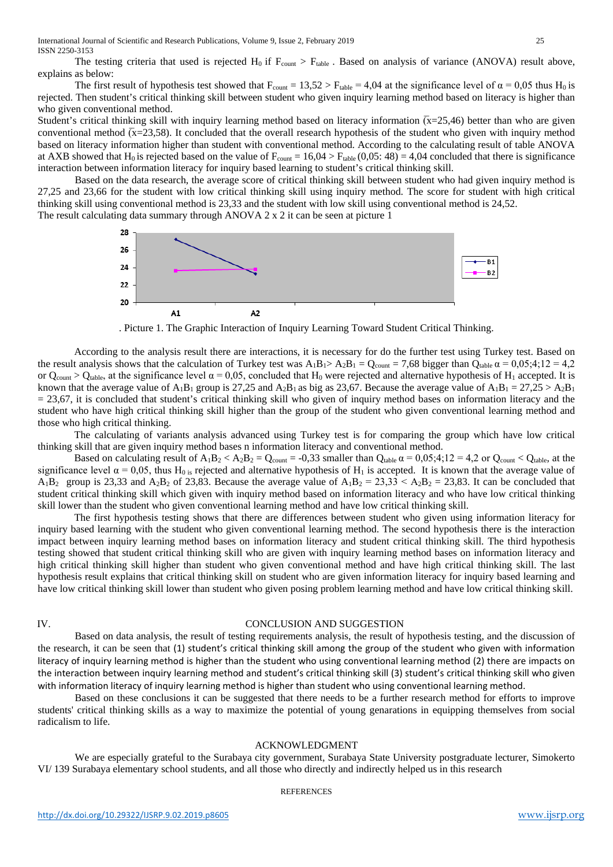International Journal of Scientific and Research Publications, Volume 9, Issue 2, February 2019 25 ISSN 2250-3153

The testing criteria that used is rejected  $H_0$  if  $F_{\text{count}} > F_{\text{table}}$ . Based on analysis of variance (ANOVA) result above, explains as below:

The first result of hypothesis test showed that  $F_{\text{count}} = 13{,}52 > F_{\text{table}} = 4{,}04$  at the significance level of  $\alpha = 0{,}05$  thus H<sub>0</sub> is rejected. Then student's critical thinking skill between student who given inquiry learning method based on literacy is higher than who given conventional method.

Student's critical thinking skill with inquiry learning method based on literacy information  $\bar{x}=25.46$ ) better than who are given conventional method  $\bar{x}$ =23,58). It concluded that the overall research hypothesis of the student who given with inquiry method based on literacy information higher than student with conventional method. According to the calculating result of table ANOVA at AXB showed that H<sub>0</sub> is rejected based on the value of  $F_{\text{count}} = 16,04 > F_{\text{table}}(0,05:48) = 4,04$  concluded that there is significance interaction between information literacy for inquiry based learning to student's critical thinking skill.

Based on the data research, the average score of critical thinking skill between student who had given inquiry method is 27,25 and 23,66 for the student with low critical thinking skill using inquiry method. The score for student with high critical thinking skill using conventional method is 23,33 and the student with low skill using conventional method is 24,52.

The result calculating data summary through ANOVA  $2 \times 2$  it can be seen at picture 1



. Picture 1. The Graphic Interaction of Inquiry Learning Toward Student Critical Thinking.

According to the analysis result there are interactions, it is necessary for do the further test using Turkey test. Based on the result analysis shows that the calculation of Turkey test was  $A_1B_1 > A_2B_1 = Q_{\text{count}} = 7.68$  bigger than  $Q_{\text{table}} \alpha = 0.05;4;12 = 4,2$ or Q<sub>count</sub> > Q<sub>table</sub>, at the significance level  $\alpha = 0.05$ , concluded that H<sub>0</sub> were rejected and alternative hypothesis of H<sub>1</sub> accepted. It is known that the average value of A<sub>1</sub>B<sub>1</sub> group is 27,25 and A<sub>2</sub>B<sub>1</sub> as big as 23,67. Because the average value of A<sub>1</sub>B<sub>1</sub> = 27,25 > A<sub>2</sub>B<sub>1</sub>  $= 23,67$ , it is concluded that student's critical thinking skill who given of inquiry method bases on information literacy and the student who have high critical thinking skill higher than the group of the student who given conventional learning method and those who high critical thinking.

The calculating of variants analysis advanced using Turkey test is for comparing the group which have low critical thinking skill that are given inquiry method bases n information literacy and conventional method.

Based on calculating result of  $A_1B_2 < A_2B_2 = Q_{\text{count}} = -0.33$  smaller than  $Q_{\text{table}} \alpha = 0.05; 4; 12 = 4, 2$  or  $Q_{\text{count}} < Q_{\text{table}}$ , at the significance level  $\alpha = 0.05$ , thus H<sub>0 is</sub> rejected and alternative hypothesis of H<sub>1</sub> is accepted. It is known that the average value of  $A_1B_2$  group is 23,33 and  $A_2B_2$  of 23,83. Because the average value of  $A_1B_2 = 23,33 < A_2B_2 = 23,83$ . It can be concluded that student critical thinking skill which given with inquiry method based on information literacy and who have low critical thinking skill lower than the student who given conventional learning method and have low critical thinking skill.

The first hypothesis testing shows that there are differences between student who given using information literacy for inquiry based learning with the student who given conventional learning method. The second hypothesis there is the interaction impact between inquiry learning method bases on information literacy and student critical thinking skill. The third hypothesis testing showed that student critical thinking skill who are given with inquiry learning method bases on information literacy and high critical thinking skill higher than student who given conventional method and have high critical thinking skill. The last hypothesis result explains that critical thinking skill on student who are given information literacy for inquiry based learning and have low critical thinking skill lower than student who given posing problem learning method and have low critical thinking skill.

## IV. CONCLUSION AND SUGGESTION

Based on data analysis, the result of testing requirements analysis, the result of hypothesis testing, and the discussion of the research, it can be seen that (1) student's critical thinking skill among the group of the student who given with information literacy of inquiry learning method is higher than the student who using conventional learning method (2) there are impacts on the interaction between inquiry learning method and student's critical thinking skill (3) student's critical thinking skill who given with information literacy of inquiry learning method is higher than student who using conventional learning method.

Based on these conclusions it can be suggested that there needs to be a further research method for efforts to improve students' critical thinking skills as a way to maximize the potential of young genarations in equipping themselves from social radicalism to life.

#### ACKNOWLEDGMENT

We are especially grateful to the Surabaya city government, Surabaya State University postgraduate lecturer, Simokerto VI/ 139 Surabaya elementary school students, and all those who directly and indirectly helped us in this research

#### **REFERENCES**